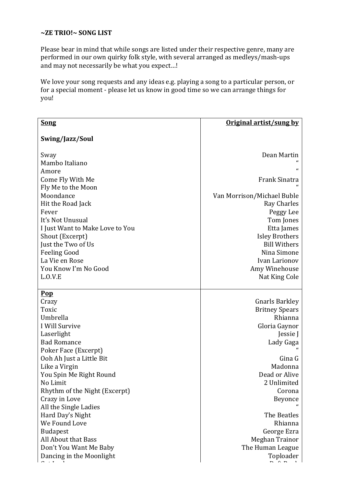## **~ZE TRIO!~ SONG LIST**

Please bear in mind that while songs are listed under their respective genre, many are performed in our own quirky folk style, with several arranged as medleys/mash-ups and may not necessarily be what you expect...!

We love your song requests and any ideas e.g. playing a song to a particular person, or for a special moment - please let us know in good time so we can arrange things for you!

| <b>Song</b>                       | Original artist/sung by    |
|-----------------------------------|----------------------------|
|                                   |                            |
| Swing/Jazz/Soul                   |                            |
|                                   |                            |
| Sway                              | Dean Martin                |
| Mambo Italiano                    | $\epsilon$                 |
| Amore                             |                            |
| Come Fly With Me                  | Frank Sinatra              |
| Fly Me to the Moon                |                            |
| Moondance                         | Van Morrison/Michael Buble |
| Hit the Road Jack                 | <b>Ray Charles</b>         |
| Fever<br>It's Not Unusual         | Peggy Lee                  |
| I Just Want to Make Love to You   | Tom Jones<br>Etta James    |
| Shout (Excerpt)                   | <b>Isley Brothers</b>      |
| Just the Two of Us                | <b>Bill Withers</b>        |
| <b>Feeling Good</b>               | Nina Simone                |
| La Vie en Rose                    | Ivan Larionov              |
| You Know I'm No Good              | Amy Winehouse              |
| L.0.V.E                           | Nat King Cole              |
|                                   |                            |
| $\underline{\mathbf{Pop}}$        |                            |
| Crazy                             | <b>Gnarls Barkley</b>      |
| Toxic                             | <b>Britney Spears</b>      |
| Umbrella                          | Rhianna                    |
| I Will Survive                    | Gloria Gaynor              |
| Laserlight                        | Jessie J                   |
| <b>Bad Romance</b>                | Lady Gaga                  |
| Poker Face (Excerpt)              |                            |
| Ooh Ah Just a Little Bit          | Gina G                     |
| Like a Virgin                     | Madonna                    |
| You Spin Me Right Round           | Dead or Alive              |
| No Limit                          | 2 Unlimited                |
| Rhythm of the Night (Excerpt)     | Corona                     |
| Crazy in Love                     | Beyonce                    |
| All the Single Ladies             | The Beatles                |
| Hard Day's Night<br>We Found Love | Rhianna                    |
| <b>Budapest</b>                   | George Ezra                |
| All About that Bass               | Meghan Trainor             |
| Don't You Want Me Baby            | The Human League           |
| Dancing in the Moonlight          | Toploader                  |
|                                   |                            |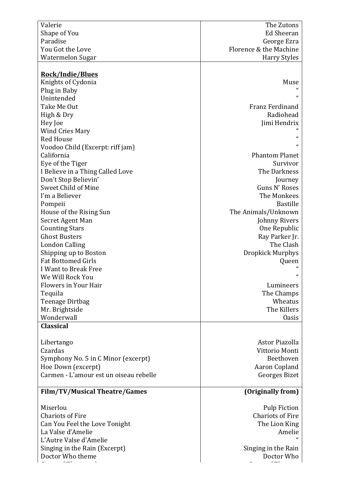| Valerie                                | The Zutons                     |
|----------------------------------------|--------------------------------|
| Shape of You                           | <b>Ed Sheeran</b>              |
| Paradise                               | George Ezra                    |
| You Got the Love                       | Florence & the Machine         |
| Watermelon Sugar                       | <b>Harry Styles</b>            |
|                                        |                                |
| <b>Rock/Indie/Blues</b>                |                                |
| Knights of Cydonia                     | Muse                           |
| Plug in Baby                           |                                |
| Unintended                             | $\epsilon$                     |
| Take Me Out                            | Franz Ferdinand                |
| High & Dry                             | Radiohead                      |
| Hey Joe                                | Jimi Hendrix                   |
| <b>Wind Cries Mary</b>                 |                                |
| <b>Red House</b>                       | $\epsilon$<br>$\epsilon$       |
| Voodoo Child (Excerpt: riff jam)       |                                |
| California                             | <b>Phantom Planet</b>          |
| Eye of the Tiger                       | Survivor                       |
| I Believe in a Thing Called Love       | The Darkness                   |
| Don't Stop Believin'                   | Journey                        |
| Sweet Child of Mine                    | Guns N' Roses                  |
| I'm a Believer                         | The Monkees<br><b>Bastille</b> |
| Pompeii<br>House of the Rising Sun     | The Animals/Unknown            |
| Secret Agent Man                       | Johnny Rivers                  |
| <b>Counting Stars</b>                  | One Republic                   |
| <b>Ghost Busters</b>                   | Ray Parker Jr.                 |
| <b>London Calling</b>                  | The Clash                      |
| Shipping up to Boston                  | Dropkick Murphys               |
| <b>Fat Bottomed Girls</b>              | Queen                          |
| I Want to Break Free                   |                                |
| We Will Rock You                       | "                              |
| Flowers in Your Hair                   | Lumineers                      |
| Tequila                                | The Champs                     |
| Teenage Dirtbag                        | Wheatus                        |
| Mr. Brightside                         | The Killers                    |
| Wonderwall                             | <b>Oasis</b>                   |
| <b>Classical</b>                       |                                |
|                                        |                                |
| Libertango                             | Astor Piazolla                 |
| Czardas                                | Vittorio Monti                 |
| Symphony No. 5 in C Minor (excerpt)    | Beethoven                      |
| Hoe Down (excerpt)                     | Aaron Copland                  |
| Carmen - L'amour est un oiseau rebelle | Georges Bizet                  |
|                                        |                                |
| <b>Film/TV/Musical Theatre/Games</b>   | (Originally from)              |
| Miserlou                               | <b>Pulp Fiction</b>            |
| <b>Chariots of Fire</b>                | <b>Chariots of Fire</b>        |
| Can You Feel the Love Tonight          | The Lion King                  |
| La Valse d'Amelie                      | Amelie                         |
| L'Autre Valse d'Amelie                 |                                |
| Singing in the Rain (Excerpt)          | Singing in the Rain            |
| Doctor Who theme                       | Doctor Who                     |
|                                        |                                |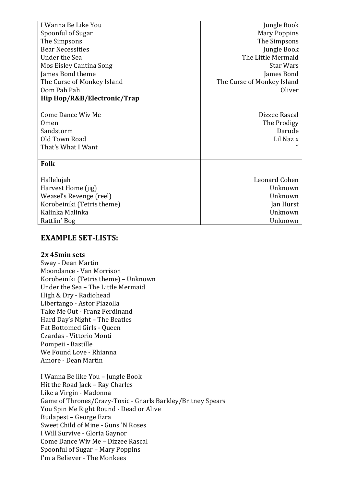| I Wanna Be Like You         | Jungle Book                |
|-----------------------------|----------------------------|
| Spoonful of Sugar           | Mary Poppins               |
| The Simpsons                | The Simpsons               |
| <b>Bear Necessities</b>     | Jungle Book                |
| Under the Sea               | The Little Mermaid         |
| Mos Eisley Cantina Song     | <b>Star Wars</b>           |
| James Bond theme            | James Bond                 |
| The Curse of Monkey Island  | The Curse of Monkey Island |
| Oom Pah Pah                 | <b>Oliver</b>              |
| Hip Hop/R&B/Electronic/Trap |                            |
|                             |                            |
| <b>Come Dance Wiv Me</b>    | Dizzee Rascal              |
| 0 <sub>men</sub>            | The Prodigy                |
| Sandstorm                   | Darude                     |
| Old Town Road               | Lil Naz x                  |
| That's What I Want          |                            |
|                             |                            |
| <b>Folk</b>                 |                            |
|                             |                            |
| Hallelujah                  | Leonard Cohen              |
| Harvest Home (jig)          | Unknown                    |
| Weasel's Revenge (reel)     | Unknown                    |
| Korobeiniki (Tetris theme)  | Jan Hurst                  |
| Kalinka Malinka             | Unknown                    |
| Rattlin' Bog                | Unknown                    |

# **EXAMPLE SET-LISTS:**

### **2x 45min sets**

Sway - Dean Martin Moondance - Van Morrison Korobeiniki (Tetris theme) - Unknown Under the Sea - The Little Mermaid High & Dry - Radiohead Libertango - Astor Piazolla Take Me Out - Franz Ferdinand Hard Day's Night – The Beatles Fat Bottomed Girls - Oueen Czardas - Vittorio Monti Pompeii - Bastille We Found Love - Rhianna Amore - Dean Martin

I Wanna Be like You - Jungle Book Hit the Road Jack - Ray Charles Like a Virgin - Madonna Game of Thrones/Crazy-Toxic - Gnarls Barkley/Britney Spears You Spin Me Right Round - Dead or Alive Budapest – George Ezra Sweet Child of Mine - Guns 'N Roses I Will Survive - Gloria Gaynor Come Dance Wiv Me - Dizzee Rascal Spoonful of Sugar – Mary Poppins I'm a Believer - The Monkees